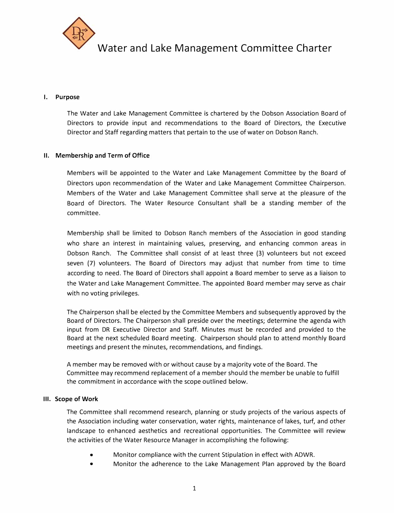

Water and Lake Management Committee Charter

## **I. Purpose**

The Water and Lake Management Committee is chartered by the Dobson Association Board of Directors to provide input and recommendations to the Board of Directors, the Executive Director and Staff regarding matters that pertain to the use of water on Dobson Ranch.

## **II. Membership and Term of Office**

Members will be appointed to the Water and Lake Management Committee by the Board of Directors upon recommendation of the Water and Lake Management Committee Chairperson. Members of the Water and Lake Management Committee shall serve at the pleasure of the Board of Directors. The Water Resource Consultant shall be a standing member of the committee.

Membership shall be limited to Dobson Ranch members of the Association in good standing who share an interest in maintaining values, preserving, and enhancing common areas in Dobson Ranch. The Committee shall consist of at least three (3) volunteers but not exceed seven (7) volunteers. The Board of Directors may adjust that number from time to time according to need. The Board of Directors shall appoint a Board member to serve as a liaison to the Water and Lake Management Committee. The appointed Board member may serve as chair with no voting privileges.

The Chairperson shall be elected by the Committee Members and subsequently approved by the Board of Directors. The Chairperson shall preside over the meetings; determine the agenda with input from DR Executive Director and Staff. Minutes must be recorded and provided to the Board at the next scheduled Board meeting. Chairperson should plan to attend monthly Board meetings and present the minutes, recommendations, and findings.

A member may be removed with or without cause by a majority vote of the Board. The Committee may recommend replacement of a member should the member be unable to fulfill the commitment in accordance with the scope outlined below.

## **Ill. Scope of Work**

The Committee shall recommend research, planning or study projects of the various aspects of the Association including water conservation, water rights, maintenance of lakes, turf, and other landscape to enhanced aesthetics and recreational opportunities. The Committee will review the activities of the Water Resource Manager in accomplishing the following:

- Monitor compliance with the current Stipulation in effect with ADWR.
- Monitor the adherence to the Lake Management Plan approved by the Board